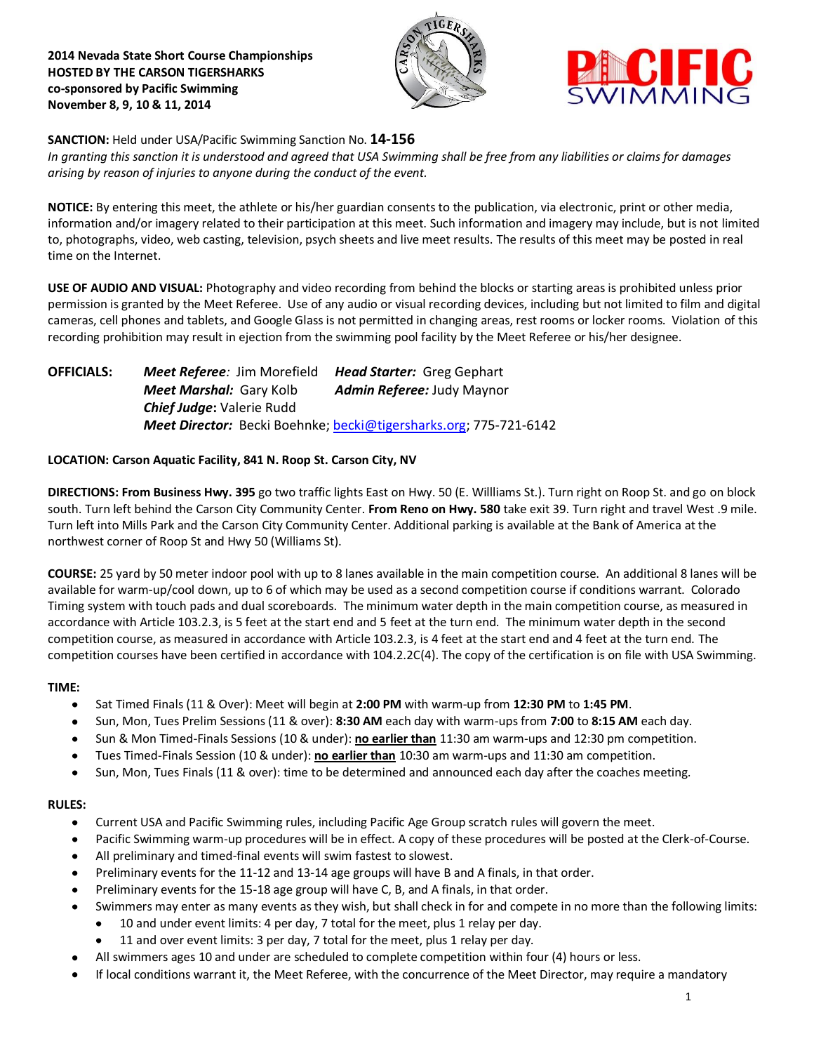**2014 Nevada State Short Course Championships HOSTED BY THE CARSON TIGERSHARKS co-sponsored by Pacific Swimming November 8, 9, 10 & 11, 2014**





**SANCTION:** Held under USA/Pacific Swimming Sanction No. **14-156**

*In granting this sanction it is understood and agreed that USA Swimming shall be free from any liabilities or claims for damages arising by reason of injuries to anyone during the conduct of the event.*

**NOTICE:** By entering this meet, the athlete or his/her guardian consents to the publication, via electronic, print or other media, information and/or imagery related to their participation at this meet. Such information and imagery may include, but is not limited to, photographs, video, web casting, television, psych sheets and live meet results. The results of this meet may be posted in real time on the Internet.

**USE OF AUDIO AND VISUAL:** Photography and video recording from behind the blocks or starting areas is prohibited unless prior permission is granted by the Meet Referee. Use of any audio or visual recording devices, including but not limited to film and digital cameras, cell phones and tablets, and Google Glass is not permitted in changing areas, rest rooms or locker rooms. Violation of this recording prohibition may result in ejection from the swimming pool facility by the Meet Referee or his/her designee.

**OFFICIALS:** *Meet Referee:* Jim Morefield *Head Starter:* Greg Gephart *Meet Marshal:* Gary Kolb *Admin Referee:* Judy Maynor *Chief Judge***:** Valerie Rudd *Meet Director:* Becki Boehnke; [becki@tigersharks.org;](mailto:becki@tigersharks.org) 775-721-6142

# **LOCATION: Carson Aquatic Facility, 841 N. Roop St. Carson City, NV**

**DIRECTIONS: From Business Hwy. 395** go two traffic lights East on Hwy. 50 (E. Willliams St.). Turn right on Roop St. and go on block south. Turn left behind the Carson City Community Center. **From Reno on Hwy. 580** take exit 39. Turn right and travel West .9 mile. Turn left into Mills Park and the Carson City Community Center. Additional parking is available at the Bank of America at the northwest corner of Roop St and Hwy 50 (Williams St).

**COURSE:** 25 yard by 50 meter indoor pool with up to 8 lanes available in the main competition course. An additional 8 lanes will be available for warm-up/cool down, up to 6 of which may be used as a second competition course if conditions warrant. Colorado Timing system with touch pads and dual scoreboards. The minimum water depth in the main competition course, as measured in accordance with Article 103.2.3, is 5 feet at the start end and 5 feet at the turn end. The minimum water depth in the second competition course, as measured in accordance with Article 103.2.3, is 4 feet at the start end and 4 feet at the turn end. The competition courses have been certified in accordance with 104.2.2C(4). The copy of the certification is on file with USA Swimming.

# **TIME:**

- Sat Timed Finals (11 & Over): Meet will begin at **2:00 PM** with warm-up from **12:30 PM** to **1:45 PM**.  $\bullet$
- Sun, Mon, Tues Prelim Sessions (11 & over): **8:30 AM** each day with warm-ups from **7:00** to **8:15 AM** each day.
- Sun & Mon Timed-Finals Sessions (10 & under): **no earlier than** 11:30 am warm-ups and 12:30 pm competition.  $\bullet$
- Tues Timed-Finals Session (10 & under): **no earlier than** 10:30 am warm-ups and 11:30 am competition.
- Sun, Mon, Tues Finals (11 & over): time to be determined and announced each day after the coaches meeting.

# **RULES:**

- Current USA and Pacific Swimming rules, including Pacific Age Group scratch rules will govern the meet.
- Pacific Swimming warm-up procedures will be in effect. A copy of these procedures will be posted at the Clerk-of-Course.
- All preliminary and timed-final events will swim fastest to slowest.
- Preliminary events for the 11-12 and 13-14 age groups will have B and A finals, in that order.
- Preliminary events for the 15-18 age group will have C, B, and A finals, in that order.
- Swimmers may enter as many events as they wish, but shall check in for and compete in no more than the following limits:
	- 10 and under event limits: 4 per day, 7 total for the meet, plus 1 relay per day.
	- 11 and over event limits: 3 per day, 7 total for the meet, plus 1 relay per day.
- All swimmers ages 10 and under are scheduled to complete competition within four (4) hours or less.
- If local conditions warrant it, the Meet Referee, with the concurrence of the Meet Director, may require a mandatory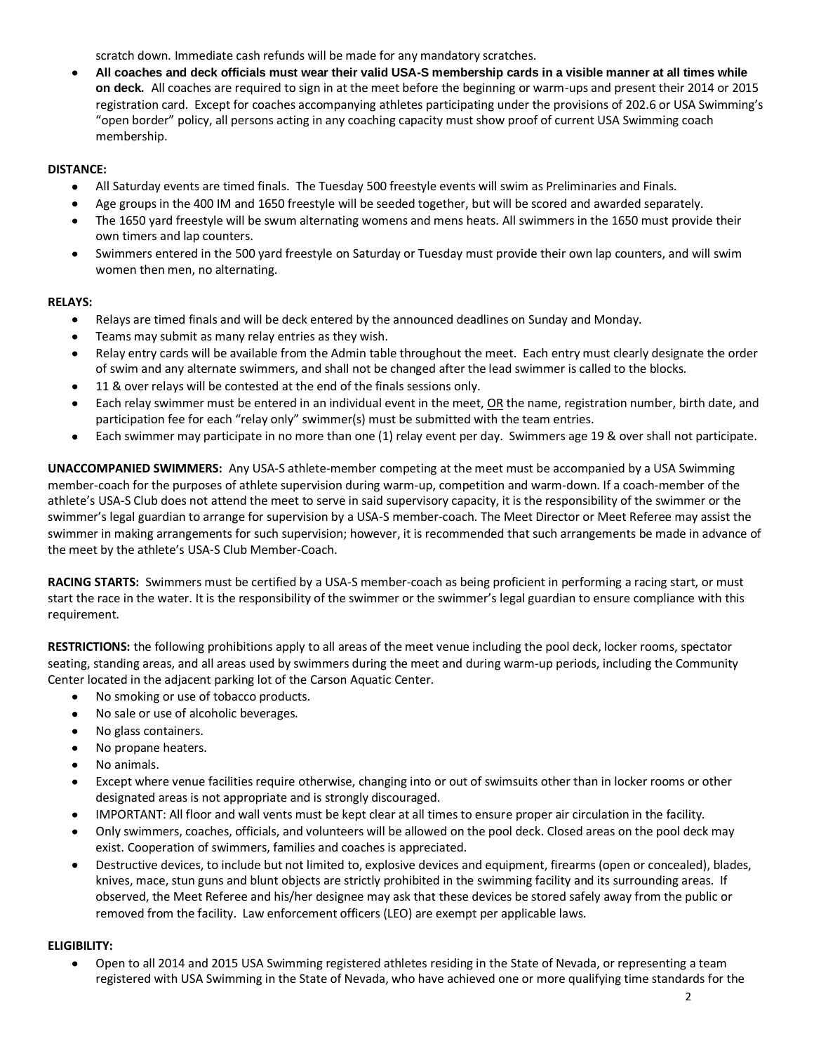scratch down. Immediate cash refunds will be made for any mandatory scratches.

**All coaches and deck officials must wear their valid USA-S membership cards in a visible manner at all times while on deck.** All coaches are required to sign in at the meet before the beginning or warm-ups and present their 2014 or 2015 registration card. Except for coaches accompanying athletes participating under the provisions of 202.6 or USA Swimming's "open border" policy, all persons acting in any coaching capacity must show proof of current USA Swimming coach membership.

# **DISTANCE:**

- All Saturday events are timed finals. The Tuesday 500 freestyle events will swim as Preliminaries and Finals.  $\bullet$
- Age groups in the 400 IM and 1650 freestyle will be seeded together, but will be scored and awarded separately.
- The 1650 yard freestyle will be swum alternating womens and mens heats. All swimmers in the 1650 must provide their own timers and lap counters.
- $\bullet$ Swimmers entered in the 500 yard freestyle on Saturday or Tuesday must provide their own lap counters, and will swim women then men, no alternating.

# **RELAYS:**

- Relays are timed finals and will be deck entered by the announced deadlines on Sunday and Monday.
- Teams may submit as many relay entries as they wish.
- Relay entry cards will be available from the Admin table throughout the meet. Each entry must clearly designate the order of swim and any alternate swimmers, and shall not be changed after the lead swimmer is called to the blocks.
- 11 & over relays will be contested at the end of the finals sessions only.
- Each relay swimmer must be entered in an individual event in the meet, OR the name, registration number, birth date, and participation fee for each "relay only" swimmer(s) must be submitted with the team entries.
- $\bullet$ Each swimmer may participate in no more than one (1) relay event per day. Swimmers age 19 & over shall not participate.

**UNACCOMPANIED SWIMMERS:** Any USA-S athlete-member competing at the meet must be accompanied by a USA Swimming member-coach for the purposes of athlete supervision during warm-up, competition and warm-down. If a coach-member of the athlete's USA-S Club does not attend the meet to serve in said supervisory capacity, it is the responsibility of the swimmer or the swimmer's legal guardian to arrange for supervision by a USA-S member-coach. The Meet Director or Meet Referee may assist the swimmer in making arrangements for such supervision; however, it is recommended that such arrangements be made in advance of the meet by the athlete's USA-S Club Member-Coach.

**RACING STARTS:** Swimmers must be certified by a USA-S member-coach as being proficient in performing a racing start, or must start the race in the water. It is the responsibility of the swimmer or the swimmer's legal guardian to ensure compliance with this requirement.

**RESTRICTIONS:** the following prohibitions apply to all areas of the meet venue including the pool deck, locker rooms, spectator seating, standing areas, and all areas used by swimmers during the meet and during warm-up periods, including the Community Center located in the adjacent parking lot of the Carson Aquatic Center.

- No smoking or use of tobacco products.  $\bullet$
- No sale or use of alcoholic beverages.  $\bullet$
- No glass containers.
- No propane heaters.
- No animals.
- Except where venue facilities require otherwise, changing into or out of swimsuits other than in locker rooms or other designated areas is not appropriate and is strongly discouraged.
- IMPORTANT: All floor and wall vents must be kept clear at all times to ensure proper air circulation in the facility.
- Only swimmers, coaches, officials, and volunteers will be allowed on the pool deck. Closed areas on the pool deck may exist. Cooperation of swimmers, families and coaches is appreciated.
- Destructive devices, to include but not limited to, explosive devices and equipment, firearms (open or concealed), blades, knives, mace, stun guns and blunt objects are strictly prohibited in the swimming facility and its surrounding areas. If observed, the Meet Referee and his/her designee may ask that these devices be stored safely away from the public or removed from the facility. Law enforcement officers (LEO) are exempt per applicable laws.

# **ELIGIBILITY:**

 $\bullet$ Open to all 2014 and 2015 USA Swimming registered athletes residing in the State of Nevada, or representing a team registered with USA Swimming in the State of Nevada, who have achieved one or more qualifying time standards for the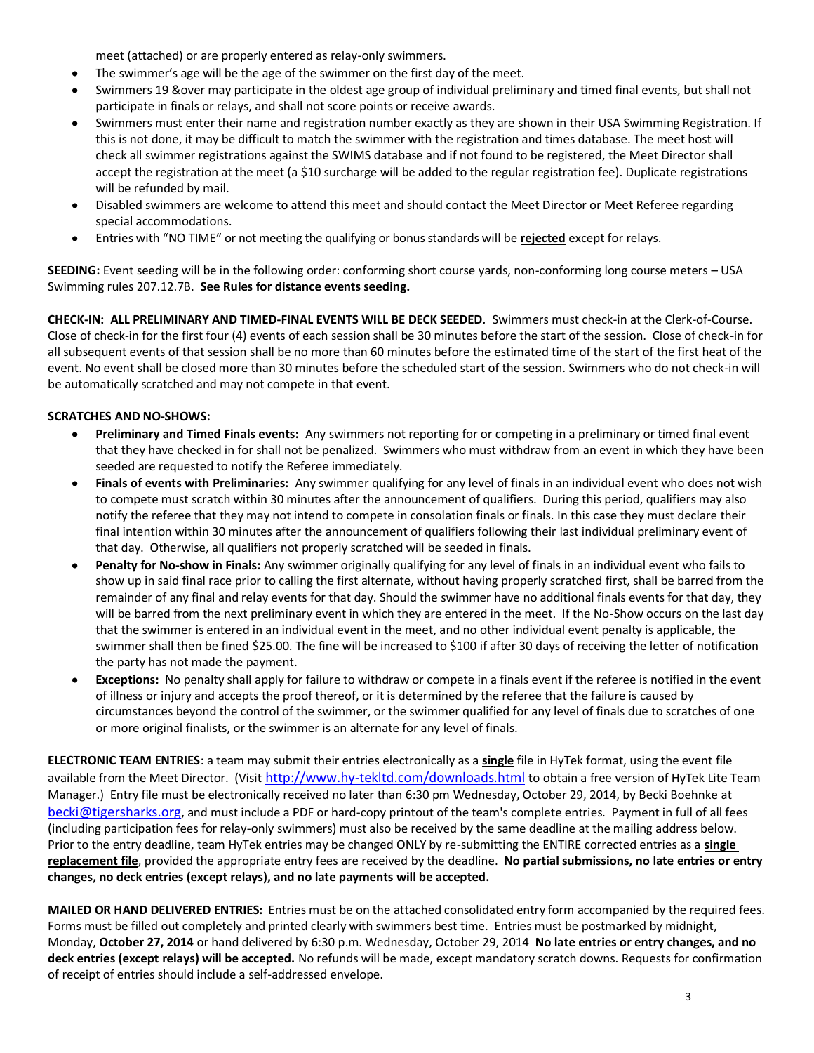meet (attached) or are properly entered as relay-only swimmers.

- The swimmer's age will be the age of the swimmer on the first day of the meet.
- Swimmers 19 &over may participate in the oldest age group of individual preliminary and timed final events, but shall not participate in finals or relays, and shall not score points or receive awards.
- Swimmers must enter their name and registration number exactly as they are shown in their USA Swimming Registration. If this is not done, it may be difficult to match the swimmer with the registration and times database. The meet host will check all swimmer registrations against the SWIMS database and if not found to be registered, the Meet Director shall accept the registration at the meet (a \$10 surcharge will be added to the regular registration fee). Duplicate registrations will be refunded by mail.
- Disabled swimmers are welcome to attend this meet and should contact the Meet Director or Meet Referee regarding  $\bullet$ special accommodations.
- Entries with "NO TIME" or not meeting the qualifying or bonus standards will be **rejected** except for relays.

**SEEDING:** Event seeding will be in the following order: conforming short course yards, non-conforming long course meters – USA Swimming rules 207.12.7B. **See Rules for distance events seeding.**

**CHECK-IN: ALL PRELIMINARY AND TIMED-FINAL EVENTS WILL BE DECK SEEDED.** Swimmers must check-in at the Clerk-of-Course. Close of check-in for the first four (4) events of each session shall be 30 minutes before the start of the session. Close of check‐in for all subsequent events of that session shall be no more than 60 minutes before the estimated time of the start of the first heat of the event. No event shall be closed more than 30 minutes before the scheduled start of the session. Swimmers who do not check-in will be automatically scratched and may not compete in that event.

# **SCRATCHES AND NO-SHOWS:**

- **Preliminary and Timed Finals events:** Any swimmers not reporting for or competing in a preliminary or timed final event that they have checked in for shall not be penalized. Swimmers who must withdraw from an event in which they have been seeded are requested to notify the Referee immediately.
- **Finals of events with Preliminaries:** Any swimmer qualifying for any level of finals in an individual event who does not wish  $\bullet$ to compete must scratch within 30 minutes after the announcement of qualifiers. During this period, qualifiers may also notify the referee that they may not intend to compete in consolation finals or finals. In this case they must declare their final intention within 30 minutes after the announcement of qualifiers following their last individual preliminary event of that day. Otherwise, all qualifiers not properly scratched will be seeded in finals.
- **Penalty for No-show in Finals:** Any swimmer originally qualifying for any level of finals in an individual event who fails to show up in said final race prior to calling the first alternate, without having properly scratched first, shall be barred from the remainder of any final and relay events for that day. Should the swimmer have no additional finals events for that day, they will be barred from the next preliminary event in which they are entered in the meet. If the No-Show occurs on the last day that the swimmer is entered in an individual event in the meet, and no other individual event penalty is applicable, the swimmer shall then be fined \$25.00. The fine will be increased to \$100 if after 30 days of receiving the letter of notification the party has not made the payment.
- **Exceptions:** No penalty shall apply for failure to withdraw or compete in a finals event if the referee is notified in the event of illness or injury and accepts the proof thereof, or it is determined by the referee that the failure is caused by circumstances beyond the control of the swimmer, or the swimmer qualified for any level of finals due to scratches of one or more original finalists, or the swimmer is an alternate for any level of finals.

**ELECTRONIC TEAM ENTRIES**: a team may submit their entries electronically as a **single** file in HyTek format, using the event file available from the Meet Director. (Visit <http://www.hy-tekltd.com/downloads.html> to obtain a free version of HyTek Lite Team Manager.) Entry file must be electronically received no later than 6:30 pm Wednesday, October 29, 2014, by Becki Boehnke at [becki@tigersharks.org](mailto:becki@tigersharks.org), and must include a PDF or hard-copy printout of the team's complete entries. Payment in full of all fees (including participation fees for relay-only swimmers) must also be received by the same deadline at the mailing address below. Prior to the entry deadline, team HyTek entries may be changed ONLY by re-submitting the ENTIRE corrected entries as a **single replacement file**, provided the appropriate entry fees are received by the deadline. **No partial submissions, no late entries or entry changes, no deck entries (except relays), and no late payments will be accepted.**

**MAILED OR HAND DELIVERED ENTRIES:** Entries must be on the attached consolidated entry form accompanied by the required fees. Forms must be filled out completely and printed clearly with swimmers best time. Entries must be postmarked by midnight, Monday, **October 27, 2014** or hand delivered by 6:30 p.m. Wednesday, October 29, 2014 **No late entries or entry changes, and no deck entries (except relays) will be accepted.** No refunds will be made, except mandatory scratch downs. Requests for confirmation of receipt of entries should include a self-addressed envelope.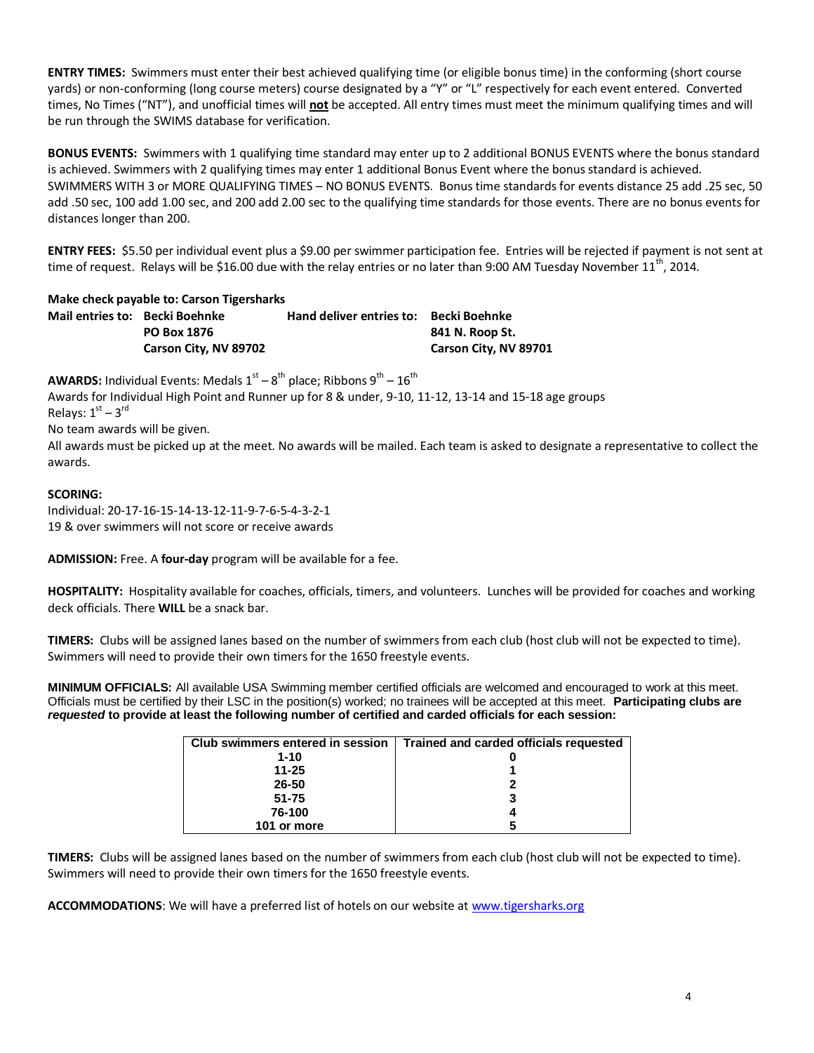**ENTRY TIMES:** Swimmers must enter their best achieved qualifying time (or eligible bonus time) in the conforming (short course yards) or non-conforming (long course meters) course designated by a "Y" or "L" respectively for each event entered. Converted times, No Times ("NT"), and unofficial times will **not** be accepted. All entry times must meet the minimum qualifying times and will be run through the SWIMS database for verification.

**BONUS EVENTS:** Swimmers with 1 qualifying time standard may enter up to 2 additional BONUS EVENTS where the bonus standard is achieved. Swimmers with 2 qualifying times may enter 1 additional Bonus Event where the bonus standard is achieved. SWIMMERS WITH 3 or MORE QUALIFYING TIMES – NO BONUS EVENTS. Bonus time standards for events distance 25 add .25 sec, 50 add .50 sec, 100 add 1.00 sec, and 200 add 2.00 sec to the qualifying time standards for those events. There are no bonus events for distances longer than 200.

**ENTRY FEES:** \$5.50 per individual event plus a \$9.00 per swimmer participation fee. Entries will be rejected if payment is not sent at time of request. Relays will be \$16.00 due with the relay entries or no later than 9:00 AM Tuesday November  $11^{th}$ , 2014.

**Make check payable to: Carson Tigersharks Mail entries to: Becki Boehnke Hand deliver entries to: Becki Boehnke PO Box 1876 841 N. Roop St. Carson City, NV 89702 Carson City, NV 89701**

**AWARDS:** Individual Events: Medals  $1^\text{st} - 8^\text{th}$  place; Ribbons  $9^\text{th} - 16^\text{th}$ 

Awards for Individual High Point and Runner up for 8 & under, 9-10, 11-12, 13-14 and 15-18 age groups Relays:  $1<sup>st</sup> - 3<sup>rd</sup>$ 

No team awards will be given.

All awards must be picked up at the meet. No awards will be mailed. Each team is asked to designate a representative to collect the awards.

# **SCORING:**

Individual: 20-17-16-15-14-13-12-11-9-7-6-5-4-3-2-1 19 & over swimmers will not score or receive awards

**ADMISSION:** Free. A **four-day** program will be available for a fee.

**HOSPITALITY:** Hospitality available for coaches, officials, timers, and volunteers. Lunches will be provided for coaches and working deck officials. There **WILL** be a snack bar.

**TIMERS:** Clubs will be assigned lanes based on the number of swimmers from each club (host club will not be expected to time). Swimmers will need to provide their own timers for the 1650 freestyle events.

**MINIMUM OFFICIALS:** All available USA Swimming member certified officials are welcomed and encouraged to work at this meet. Officials must be certified by their LSC in the position(s) worked; no trainees will be accepted at this meet. **Participating clubs are** *requested* **to provide at least the following number of certified and carded officials for each session:**

| Club swimmers entered in session | Trained and carded officials requested |
|----------------------------------|----------------------------------------|
| $1 - 10$                         |                                        |
| $11 - 25$                        |                                        |
| 26-50                            |                                        |
| $51 - 75$                        |                                        |
| 76-100                           |                                        |
| 101 or more                      |                                        |

**TIMERS:** Clubs will be assigned lanes based on the number of swimmers from each club (host club will not be expected to time). Swimmers will need to provide their own timers for the 1650 freestyle events.

**ACCOMMODATIONS**: We will have a preferred list of hotels on our website at [www.tigersharks.org](http://www.tigersharks.org/)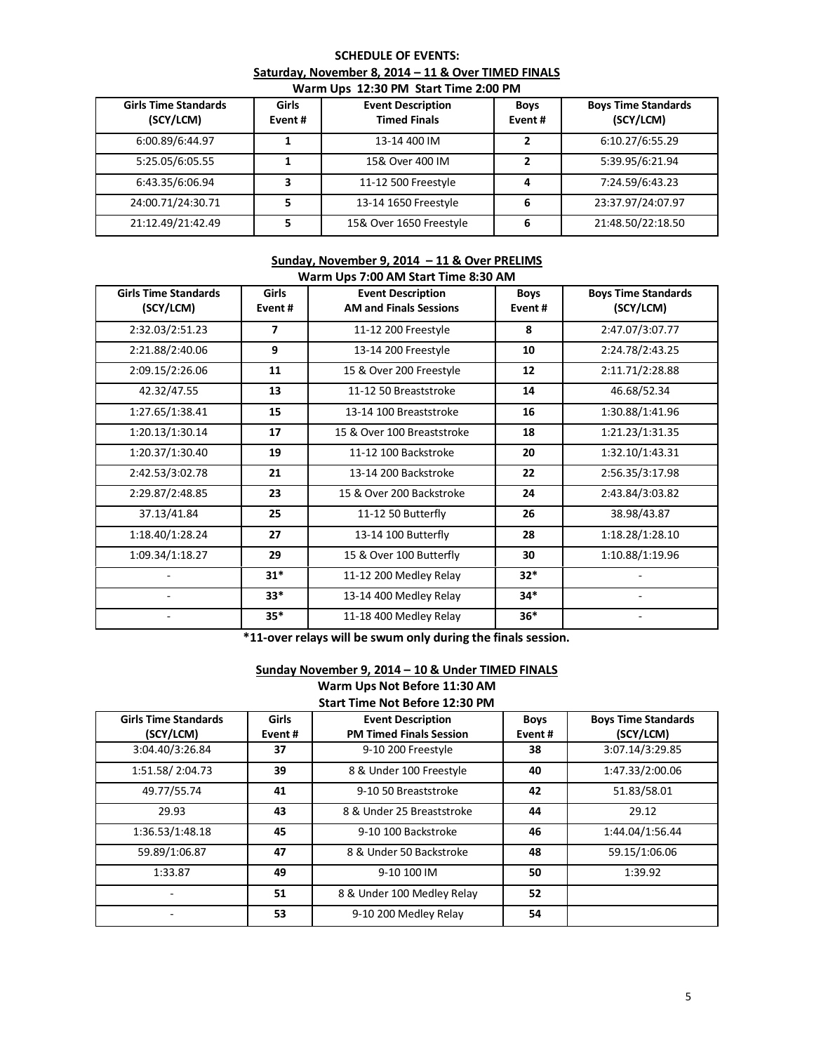#### **SCHEDULE OF EVENTS: Saturday, November 8, 2014 – 11 & Over TIMED FINALS Warm Ups 12:30 PM Start Time 2:00 PM**

| <b>THE END TO BE SENT IN STRIP IN THE END IN</b> |                        |                                                 |                       |                                         |  |  |
|--------------------------------------------------|------------------------|-------------------------------------------------|-----------------------|-----------------------------------------|--|--|
| <b>Girls Time Standards</b><br>(SCY/LCM)         | <b>Girls</b><br>Event# | <b>Event Description</b><br><b>Timed Finals</b> | <b>Boys</b><br>Event# | <b>Boys Time Standards</b><br>(SCY/LCM) |  |  |
| 6:00.89/6:44.97                                  |                        | 13-14 400 IM                                    |                       | 6:10.27/6:55.29                         |  |  |
| 5:25.05/6:05.55                                  |                        | 15& Over 400 IM                                 | 2                     | 5:39.95/6:21.94                         |  |  |
| 6:43.35/6:06.94                                  | ∍                      | 11-12 500 Freestyle                             | 4                     | 7:24.59/6:43.23                         |  |  |
| 24:00.71/24:30.71                                |                        | 13-14 1650 Freestyle                            | 6                     | 23:37.97/24:07.97                       |  |  |
| 21:12.49/21:42.49                                |                        | 15& Over 1650 Freestyle                         | 6                     | 21:48.50/22:18.50                       |  |  |

#### **Sunday, November 9, 2014 – 11 & Over PRELIMS Warm Ups 7:00 AM Start Time 8:30 AM**

| warm Ops 7:00 Alvi Start Time 8:30 Alvi |              |                               |             |                            |  |
|-----------------------------------------|--------------|-------------------------------|-------------|----------------------------|--|
| <b>Girls Time Standards</b>             | <b>Girls</b> | <b>Event Description</b>      | <b>Boys</b> | <b>Boys Time Standards</b> |  |
| (SCY/LCM)                               | Event#       | <b>AM and Finals Sessions</b> | Event#      | (SCY/LCM)                  |  |
| 2:32.03/2:51.23                         | 7            | 11-12 200 Freestyle           | 8           | 2:47.07/3:07.77            |  |
| 2:21.88/2:40.06                         | 9            | 13-14 200 Freestyle           | 10          | 2:24.78/2:43.25            |  |
| 2:09.15/2:26.06                         | 11           | 15 & Over 200 Freestyle       | 12          | 2:11.71/2:28.88            |  |
| 42.32/47.55                             | 13           | 11-12 50 Breaststroke         | 14          | 46.68/52.34                |  |
| 1:27.65/1:38.41                         | 15           | 13-14 100 Breaststroke        | 16          | 1:30.88/1:41.96            |  |
| 1:20.13/1:30.14                         | 17           | 15 & Over 100 Breaststroke    | 18          | 1:21.23/1:31.35            |  |
| 1:20.37/1:30.40                         | 19           | 11-12 100 Backstroke          | 20          | 1:32.10/1:43.31            |  |
| 2:42.53/3:02.78                         | 21           | 13-14 200 Backstroke          | 22          | 2:56.35/3:17.98            |  |
| 2:29.87/2:48.85                         | 23           | 15 & Over 200 Backstroke      | 24          | 2:43.84/3:03.82            |  |
| 37.13/41.84                             | 25           | 11-12 50 Butterfly            | 26          | 38.98/43.87                |  |
| 1:18.40/1:28.24                         | 27           | 13-14 100 Butterfly           | 28          | 1:18.28/1:28.10            |  |
| 1:09.34/1:18.27                         | 29           | 15 & Over 100 Butterfly       | 30          | 1:10.88/1:19.96            |  |
|                                         | $31*$        | 11-12 200 Medley Relay        | $32*$       |                            |  |
|                                         | $33*$        | 13-14 400 Medley Relay        | 34*         |                            |  |
|                                         | $35*$        | 11-18 400 Medley Relay        | $36*$       |                            |  |

**\*11-over relays will be swum only during the finals session.**

# **Sunday November 9, 2014 – 10 & Under TIMED FINALS**

**Warm Ups Not Before 11:30 AM Start Time Not Before 12:30 PM**

| Start Time Not belore 12.50 PM           |                         |                                                            |                       |                                         |  |
|------------------------------------------|-------------------------|------------------------------------------------------------|-----------------------|-----------------------------------------|--|
| <b>Girls Time Standards</b><br>(SCY/LCM) | <b>Girls</b><br>Event # | <b>Event Description</b><br><b>PM Timed Finals Session</b> | <b>Boys</b><br>Event# | <b>Boys Time Standards</b><br>(SCY/LCM) |  |
| 3:04.40/3:26.84                          | 37                      | 9-10 200 Freestyle                                         | 38                    | 3:07.14/3:29.85                         |  |
| 1:51.58/2:04.73                          | 39                      | 8 & Under 100 Freestyle                                    | 40                    | 1:47.33/2:00.06                         |  |
| 49.77/55.74                              | 41                      | 9-10 50 Breaststroke                                       | 42                    | 51.83/58.01                             |  |
| 29.93                                    | 43                      | 8 & Under 25 Breaststroke                                  | 44                    | 29.12                                   |  |
| 1:36.53/1:48.18                          | 45                      | 9-10 100 Backstroke                                        | 46                    | 1:44.04/1:56.44                         |  |
| 59.89/1:06.87                            | 47                      | 8 & Under 50 Backstroke                                    | 48                    | 59.15/1:06.06                           |  |
| 1:33.87                                  | 49                      | 9-10 100 IM                                                | 50                    | 1:39.92                                 |  |
|                                          | 51                      | 8 & Under 100 Medley Relay                                 | 52                    |                                         |  |
|                                          | 53                      | 9-10 200 Medley Relay                                      | 54                    |                                         |  |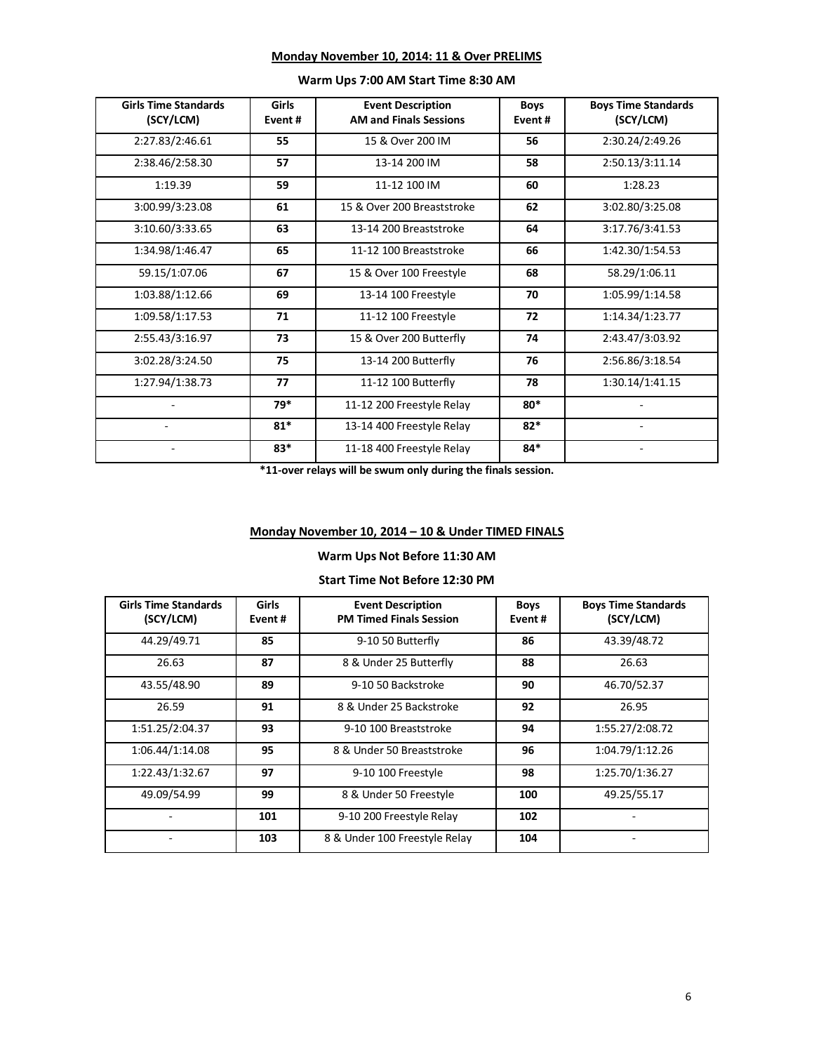|  |  |  |  | Monday November 10, 2014: 11 & Over PRELIMS |
|--|--|--|--|---------------------------------------------|
|--|--|--|--|---------------------------------------------|

| <b>Girls Time Standards</b><br>(SCY/LCM) | Girls<br>Event# | <b>Event Description</b><br><b>AM and Finals Sessions</b> | <b>Boys</b><br>Event# | <b>Boys Time Standards</b><br>(SCY/LCM) |
|------------------------------------------|-----------------|-----------------------------------------------------------|-----------------------|-----------------------------------------|
| 2:27.83/2:46.61                          | 55              | 15 & Over 200 IM                                          | 56                    | 2:30.24/2:49.26                         |
| 2:38.46/2:58.30                          | 57              | 13-14 200 IM                                              | 58                    | 2:50.13/3:11.14                         |
| 1:19.39                                  | 59              | 11-12 100 IM                                              | 60                    | 1:28.23                                 |
| 3:00.99/3:23.08                          | 61              | 15 & Over 200 Breaststroke                                | 62                    | 3:02.80/3:25.08                         |
| 3:10.60/3:33.65                          | 63              | 13-14 200 Breaststroke                                    | 64                    | 3:17.76/3:41.53                         |
| 1:34.98/1:46.47                          | 65              | 11-12 100 Breaststroke                                    | 66                    | 1:42.30/1:54.53                         |
| 59.15/1:07.06                            | 67              | 15 & Over 100 Freestyle                                   | 68                    | 58.29/1:06.11                           |
| 1:03.88/1:12.66                          | 69              | 13-14 100 Freestyle                                       | 70                    | 1:05.99/1:14.58                         |
| 1:09.58/1:17.53                          | 71              | 11-12 100 Freestyle                                       | 72                    | 1:14.34/1:23.77                         |
| 2:55.43/3:16.97                          | 73              | 15 & Over 200 Butterfly                                   | 74                    | 2:43.47/3:03.92                         |
| 3:02.28/3:24.50                          | 75              | 13-14 200 Butterfly                                       | 76                    | 2:56.86/3:18.54                         |
| 1:27.94/1:38.73                          | 77              | 11-12 100 Butterfly                                       | 78                    | 1:30.14/1:41.15                         |
|                                          | 79*             | 11-12 200 Freestyle Relay                                 | $80*$                 |                                         |
|                                          | $81*$           | 13-14 400 Freestyle Relay                                 | $82*$                 |                                         |
|                                          | $83*$           | 11-18 400 Freestyle Relay                                 | $84*$                 |                                         |

#### **Warm Ups 7:00 AM Start Time 8:30 AM**

**\*11-over relays will be swum only during the finals session.**

# **Monday November 10, 2014 – 10 & Under TIMED FINALS**

# **Warm Ups Not Before 11:30 AM**

## **Start Time Not Before 12:30 PM**

| <b>Girls Time Standards</b><br>(SCY/LCM) | Girls<br>Event# | <b>Event Description</b><br><b>PM Timed Finals Session</b> | <b>Boys</b><br>Event# | <b>Boys Time Standards</b><br>(SCY/LCM) |
|------------------------------------------|-----------------|------------------------------------------------------------|-----------------------|-----------------------------------------|
| 44.29/49.71                              | 85              | 9-10 50 Butterfly                                          | 86                    | 43.39/48.72                             |
| 26.63                                    | 87              | 8 & Under 25 Butterfly                                     | 88                    | 26.63                                   |
| 43.55/48.90                              | 89              | 9-10 50 Backstroke                                         | 90                    | 46.70/52.37                             |
| 26.59                                    | 91              | 8 & Under 25 Backstroke                                    | 92                    | 26.95                                   |
| 1:51.25/2:04.37                          | 93              | 9-10 100 Breaststroke                                      | 94                    | 1:55.27/2:08.72                         |
| 1:06.44/1:14.08                          | 95              | 8 & Under 50 Breaststroke                                  | 96                    | 1:04.79/1:12.26                         |
| 1:22.43/1:32.67                          | 97              | 9-10 100 Freestyle                                         | 98                    | 1:25.70/1:36.27                         |
| 49.09/54.99                              | 99              | 8 & Under 50 Freestyle                                     | 100                   | 49.25/55.17                             |
|                                          | 101             | 9-10 200 Freestyle Relay                                   | 102                   |                                         |
|                                          | 103             | 8 & Under 100 Freestyle Relay                              | 104                   |                                         |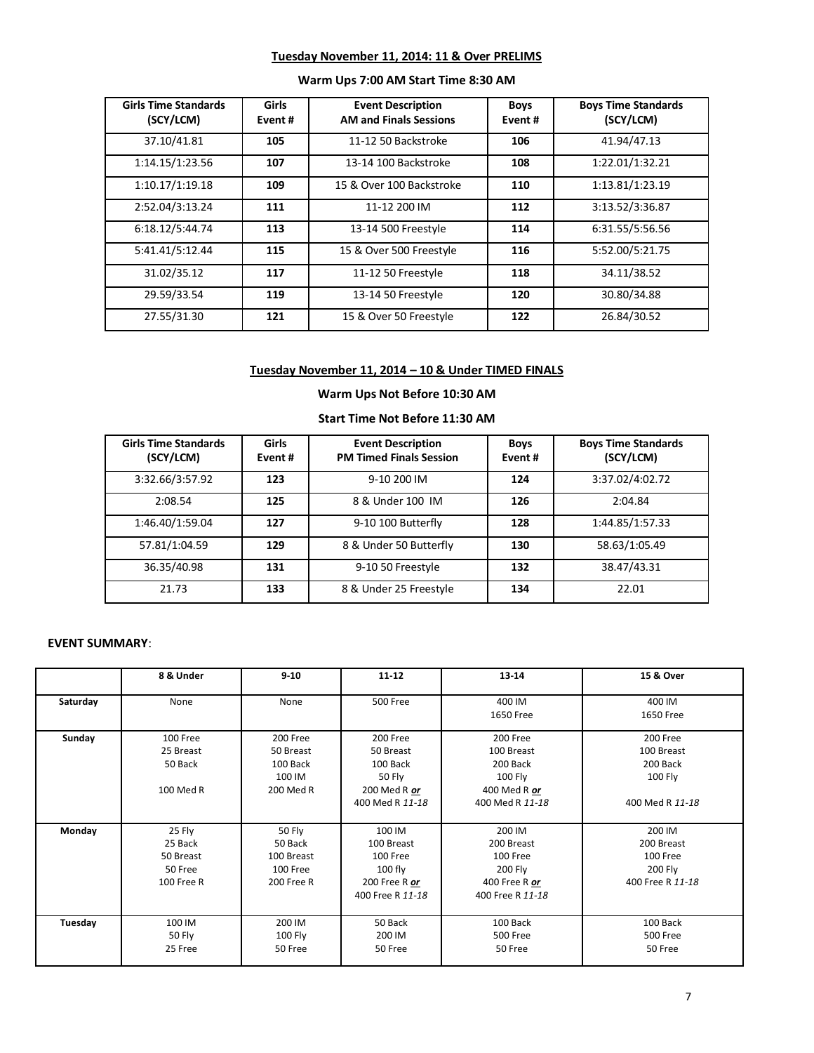### **Tuesday November 11, 2014: 11 & Over PRELIMS**

| <b>Girls Time Standards</b><br>(SCY/LCM) | Girls<br>Event# | <b>Event Description</b><br><b>AM and Finals Sessions</b> | <b>Boys</b><br>Event# | <b>Boys Time Standards</b><br>(SCY/LCM) |
|------------------------------------------|-----------------|-----------------------------------------------------------|-----------------------|-----------------------------------------|
| 37.10/41.81                              | 105             | 11-12 50 Backstroke                                       | 106                   | 41.94/47.13                             |
| 1:14.15/1:23.56                          | 107             | 13-14 100 Backstroke                                      | 108                   | 1:22.01/1:32.21                         |
| 1:10.17/1:19.18                          | 109             | 15 & Over 100 Backstroke                                  | 110                   | 1:13.81/1:23.19                         |
| 2:52.04/3:13.24                          | 111             | 11-12 200 IM                                              | 112                   | 3:13.52/3:36.87                         |
| 6:18.12/5:44.74                          | 113             | 13-14 500 Freestyle                                       | 114                   | 6:31.55/5:56.56                         |
| 5:41.41/5:12.44                          | 115             | 15 & Over 500 Freestyle                                   | 116                   | 5:52.00/5:21.75                         |
| 31.02/35.12                              | 117             | 11-12 50 Freestyle                                        | 118                   | 34.11/38.52                             |
| 29.59/33.54                              | 119             | 13-14 50 Freestyle                                        | 120                   | 30.80/34.88                             |
| 27.55/31.30                              | 121             | 15 & Over 50 Freestyle                                    | 122                   | 26.84/30.52                             |

# **Warm Ups 7:00 AM Start Time 8:30 AM**

# **Tuesday November 11, 2014 – 10 & Under TIMED FINALS**

# **Warm Ups Not Before 10:30 AM**

# **Start Time Not Before 11:30 AM**

| <b>Girls Time Standards</b><br>(SCY/LCM) | Girls<br>Event # | <b>Event Description</b><br><b>PM Timed Finals Session</b> | <b>Boys</b><br>Event # | <b>Boys Time Standards</b><br>(SCY/LCM) |
|------------------------------------------|------------------|------------------------------------------------------------|------------------------|-----------------------------------------|
| 3:32.66/3:57.92                          | 123              | 9-10 200 IM                                                | 124                    | 3:37.02/4:02.72                         |
| 2:08.54                                  | 125              | 8 & Under 100 IM                                           | 126                    | 2:04.84                                 |
| 1:46.40/1:59.04                          | 127              | 9-10 100 Butterfly                                         | 128                    | 1:44.85/1:57.33                         |
| 57.81/1:04.59                            | 129              | 8 & Under 50 Butterfly                                     | 130                    | 58.63/1:05.49                           |
| 36.35/40.98                              | 131              | 9-10 50 Freestyle                                          | 132                    | 38.47/43.31                             |
| 21.73                                    | 133              | 8 & Under 25 Freestyle                                     | 134                    | 22.01                                   |

# **EVENT SUMMARY**:

|          | 8 & Under                                               | $9 - 10$                                                  | $11 - 12$                                                                             | 13-14                                                                            | 15 & Over                                                        |
|----------|---------------------------------------------------------|-----------------------------------------------------------|---------------------------------------------------------------------------------------|----------------------------------------------------------------------------------|------------------------------------------------------------------|
| Saturday | None                                                    | None                                                      | <b>500 Free</b>                                                                       | 400 IM<br>1650 Free                                                              | 400 IM<br>1650 Free                                              |
| Sunday   | 100 Free<br>25 Breast<br>50 Back<br>100 Med R           | 200 Free<br>50 Breast<br>100 Back<br>100 IM<br>200 Med R  | 200 Free<br>50 Breast<br>100 Back<br><b>50 Fly</b><br>200 Med R or<br>400 Med R 11-18 | 200 Free<br>100 Breast<br>200 Back<br>100 Fly<br>400 Med R or<br>400 Med R 11-18 | 200 Free<br>100 Breast<br>200 Back<br>100 Fly<br>400 Med R 11-18 |
| Monday   | 25 Fly<br>25 Back<br>50 Breast<br>50 Free<br>100 Free R | 50 Fly<br>50 Back<br>100 Breast<br>100 Free<br>200 Free R | 100 IM<br>100 Breast<br>100 Free<br>$100$ fly<br>200 Free R $or$<br>400 Free R 11-18  | 200 IM<br>200 Breast<br>100 Free<br>200 Fly<br>400 Free R or<br>400 Free R 11-18 | 200 IM<br>200 Breast<br>100 Free<br>200 Fly<br>400 Free R 11-18  |
| Tuesday  | 100 IM<br>50 Fly<br>25 Free                             | 200 IM<br>100 Fly<br>50 Free                              | 50 Back<br>200 IM<br>50 Free                                                          | 100 Back<br>500 Free<br>50 Free                                                  | 100 Back<br><b>500 Free</b><br>50 Free                           |